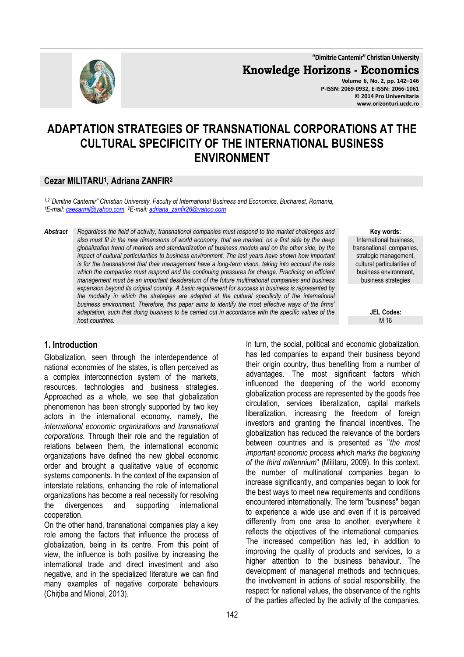**"Dimitrie Cantemir" Christian University**

**Knowledge Horizons - Economics Volume 6, No. 2, pp. 142–146** 

**P-ISSN: 2069-0932, E-ISSN: 2066-1061 © 2014 Pro Universitaria www.orizonturi.ucdc.ro**

# **ADAPTATION STRATEGIES OF TRANSNATIONAL CORPORATIONS AT THE CULTURAL SPECIFICITY OF THE INTERNATIONAL BUSINESS ENVIRONMENT**

### **Cezar MILITARU<sup>1</sup> , Adriana ZANFIR<sup>2</sup>**

*1,2 "Dimitrie Cantemir" Christian University, Faculty of International Business and Economics, Bucharest, Romania, <sup>1</sup>E-mail: caesarmil@yahoo.com, <sup>2</sup>E-mail: adriana\_zanfir26@yahoo.com* 

*Abstract Regardless the field of activity, transnational companies must respond to the market challenges and also must fit in the new dimensions of world economy, that are marked, on a first side by the deep globalization trend of markets and standardization of business models and on the other side, by the impact of cultural particularities to business environment. The last years have shown how important is for the transnational that their management have a long-term vision, taking into account the risks*  which the companies must respond and the continuing pressures for change. Practicing an efficient *management must be an important desideratum of the future multinational companies and business expansion beyond its original country. A basic requirement for success in business is represented by the modality in which the strategies are adapted at the cultural specificity of the international business environment. Therefore, this paper aims to identify the most effective ways of the firms' adaptation, such that doing business to be carried out in accordance with the specific values of the host countries.* 

**Key words:** International business, transnational companies, strategic management, cultural particularities of business environment, business strategies

> **JEL Codes:** M 16

# **1. Introduction**

Globalization, seen through the interdependence of national economies of the states, is often perceived as a complex interconnection system of the markets, resources, technologies and business strategies. Approached as a whole, we see that globalization phenomenon has been strongly supported by two key actors in the international economy, namely, the *international economic organizations and transnational corporations.* Through their role and the regulation of relations between them, the international economic organizations have defined the new global economic order and brought a qualitative value of economic systems components. In the context of the expansion of interstate relations, enhancing the role of international organizations has become a real necessity for resolving the divergences and supporting international cooperation.

On the other hand, transnational companies play a key role among the factors that influence the process of globalization, being in its centre. From this point of view, the influence is both positive by increasing the international trade and direct investment and also negative, and in the specialized literature we can find many examples of negative corporate behaviours (Chitiba and Mionel, 2013).

In turn, the social, political and economic globalization, has led companies to expand their business beyond their origin country, thus benefiting from a number of advantages. The most significant factors which influenced the deepening of the world economy globalization process are represented by the goods free circulation, services liberalization, capital markets liberalization, increasing the freedom of foreign investors and granting the financial incentives. The globalization has reduced the relevance of the borders between countries and is presented as "*the most important economic process which marks the beginning of the third millennium*" (Militaru, 2009). In this context, the number of multinational companies began to increase significantly, and companies began to look for the best ways to meet new requirements and conditions encountered internationally. The term "business" began to experience a wide use and even if it is perceived differently from one area to another, everywhere it reflects the objectives of the international companies. The increased competition has led, in addition to improving the quality of products and services, to a higher attention to the business behaviour. The development of managerial methods and techniques, the involvement in actions of social responsibility, the respect for national values, the observance of the rights of the parties affected by the activity of the companies,

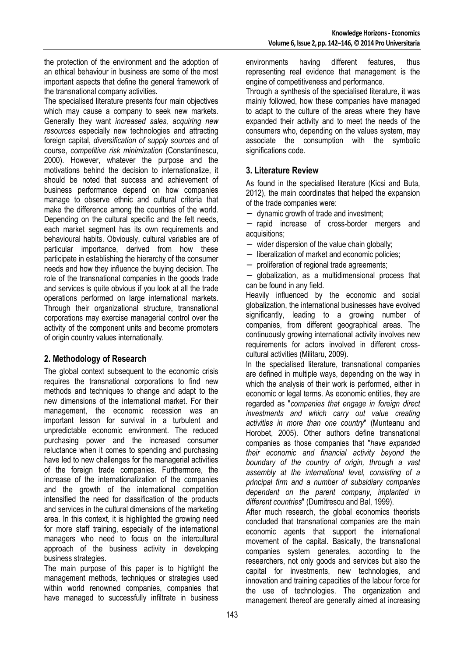the protection of the environment and the adoption of an ethical behaviour in business are some of the most important aspects that define the general framework of the transnational company activities.

The specialised literature presents four main objectives which may cause a company to seek new markets. Generally they want *increased sales, acquiring new resources* especially new technologies and attracting foreign capital, *diversification of supply sources* and of course, *competitive risk minimization* (Constantinescu, 2000). However, whatever the purpose and the motivations behind the decision to internationalize, it should be noted that success and achievement of business performance depend on how companies manage to observe ethnic and cultural criteria that make the difference among the countries of the world. Depending on the cultural specific and the felt needs, each market segment has its own requirements and behavioural habits. Obviously, cultural variables are of particular importance, derived from how these participate in establishing the hierarchy of the consumer needs and how they influence the buying decision. The role of the transnational companies in the goods trade and services is quite obvious if you look at all the trade operations performed on large international markets. Through their organizational structure, transnational corporations may exercise managerial control over the activity of the component units and become promoters of origin country values internationally.

# **2. Methodology of Research**

The global context subsequent to the economic crisis requires the transnational corporations to find new methods and techniques to change and adapt to the new dimensions of the international market. For their management, the economic recession was an important lesson for survival in a turbulent and unpredictable economic environment. The reduced purchasing power and the increased consumer reluctance when it comes to spending and purchasing have led to new challenges for the managerial activities of the foreign trade companies. Furthermore, the increase of the internationalization of the companies and the growth of the international competition intensified the need for classification of the products and services in the cultural dimensions of the marketing area. In this context, it is highlighted the growing need for more staff training, especially of the international managers who need to focus on the intercultural approach of the business activity in developing business strategies.

The main purpose of this paper is to highlight the management methods, techniques or strategies used within world renowned companies, companies that have managed to successfully infiltrate in business

environments having different features, thus representing real evidence that management is the engine of competitiveness and performance.

Through a synthesis of the specialised literature, it was mainly followed, how these companies have managed to adapt to the culture of the areas where they have expanded their activity and to meet the needs of the consumers who, depending on the values system, may associate the consumption with the symbolic significations code.

## **3. Literature Review**

As found in the specialised literature (Kicsi and Buta, 2012), the main coordinates that helped the expansion of the trade companies were:

− dynamic growth of trade and investment;

− rapid increase of cross-border mergers and acquisitions;

- − wider dispersion of the value chain globally;
- liberalization of market and economic policies;
- − proliferation of regional trade agreements;

− globalization, as a multidimensional process that can be found in any field.

Heavily influenced by the economic and social globalization, the international businesses have evolved significantly, leading to a growing number of companies, from different geographical areas. The continuously growing international activity involves new requirements for actors involved in different crosscultural activities (Militaru, 2009).

In the specialised literature, transnational companies are defined in multiple ways, depending on the way in which the analysis of their work is performed, either in economic or legal terms. As economic entities, they are regarded as "*companies that engage in foreign direct investments and which carry out value creating activities in more than one country*" (Munteanu and Horobet, 2005). Other authors define transnational companies as those companies that "*have expanded their economic and financial activity beyond the boundary of the country of origin, through a vast assembly at the international level, consisting of a principal firm and a number of subsidiary companies dependent on the parent company, implanted in different countries*" (Dumitrescu and Bal, 1999).

After much research, the global economics theorists concluded that transnational companies are the main economic agents that support the international movement of the capital. Basically, the transnational companies system generates, according to the researchers, not only goods and services but also the capital for investments, new technologies, and innovation and training capacities of the labour force for the use of technologies. The organization and management thereof are generally aimed at increasing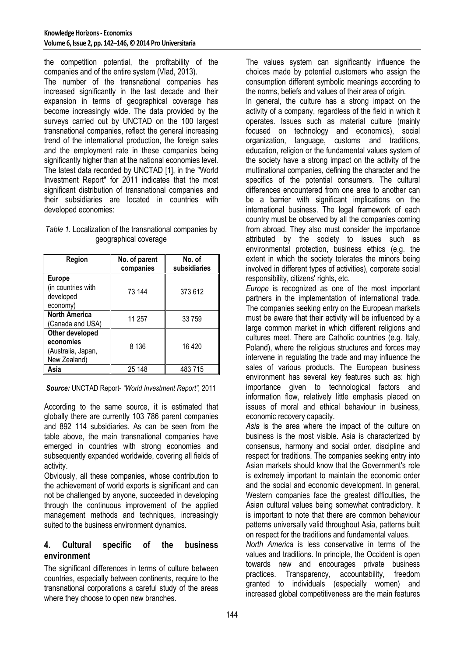the competition potential, the profitability of the companies and of the entire system (Vlad, 2013).

The number of the transnational companies has increased significantly in the last decade and their expansion in terms of geographical coverage has become increasingly wide. The data provided by the surveys carried out by UNCTAD on the 100 largest transnational companies, reflect the general increasing trend of the international production, the foreign sales and the employment rate in these companies being significantly higher than at the national economies level. The latest data recorded by UNCTAD [1], in the "World Investment Report" for 2011 indicates that the most significant distribution of transnational companies and their subsidiaries are located in countries with developed economies:

#### *Table 1.* Localization of the transnational companies by geographical coverage

| Region                                                             | No. of parent<br>companies | No. of<br>subsidiaries |
|--------------------------------------------------------------------|----------------------------|------------------------|
| <b>Europe</b><br>(in countries with<br>developed<br>economy)       | 73 144                     | 373 612                |
| <b>North America</b><br>(Canada and USA)                           | 11 257                     | 33 759                 |
| Other developed<br>economies<br>(Australia, Japan,<br>New Zealand) | 8 1 3 6                    | 16420                  |
| Asia                                                               | 25 148                     | 483 715                |

*Source:* UNCTAD Report- *"World Investment Report",* 2011

According to the same source, it is estimated that globally there are currently 103 786 parent companies and 892 114 subsidiaries. As can be seen from the table above, the main transnational companies have emerged in countries with strong economies and subsequently expanded worldwide, covering all fields of activity.

Obviously, all these companies, whose contribution to the achievement of world exports is significant and can not be challenged by anyone, succeeded in developing through the continuous improvement of the applied management methods and techniques, increasingly suited to the business environment dynamics.

### **4. Cultural specific of the business environment**

The significant differences in terms of culture between countries, especially between continents, require to the transnational corporations a careful study of the areas where they choose to open new branches.

The values system can significantly influence the choices made by potential customers who assign the consumption different symbolic meanings according to the norms, beliefs and values of their area of origin. In general, the culture has a strong impact on the activity of a company, regardless of the field in which it operates. Issues such as material culture (mainly focused on technology and economics), social organization, language, customs and traditions, education, religion or the fundamental values system of the society have a strong impact on the activity of the multinational companies, defining the character and the specifics of the potential consumers. The cultural differences encountered from one area to another can be a barrier with significant implications on the international business. The legal framework of each country must be observed by all the companies coming from abroad. They also must consider the importance attributed by the society to issues such as environmental protection, business ethics (e.g. the extent in which the society tolerates the minors being involved in different types of activities), corporate social responsibility, citizens' rights, etc.

*Europe* is recognized as one of the most important partners in the implementation of international trade. The companies seeking entry on the European markets must be aware that their activity will be influenced by a large common market in which different religions and cultures meet. There are Catholic countries (e.g. Italy, Poland), where the religious structures and forces may intervene in regulating the trade and may influence the sales of various products. The European business environment has several key features such as: high importance given to technological factors and information flow, relatively little emphasis placed on issues of moral and ethical behaviour in business, economic recovery capacity.

*Asia* is the area where the impact of the culture on business is the most visible. Asia is characterized by consensus, harmony and social order, discipline and respect for traditions. The companies seeking entry into Asian markets should know that the Government's role is extremely important to maintain the economic order and the social and economic development. In general, Western companies face the greatest difficulties, the Asian cultural values being somewhat contradictory. It is important to note that there are common behaviour patterns universally valid throughout Asia, patterns built on respect for the traditions and fundamental values.

*North America* is less conservative in terms of the values and traditions. In principle, the Occident is open towards new and encourages private business practices. Transparency, accountability, freedom granted to individuals (especially women) and increased global competitiveness are the main features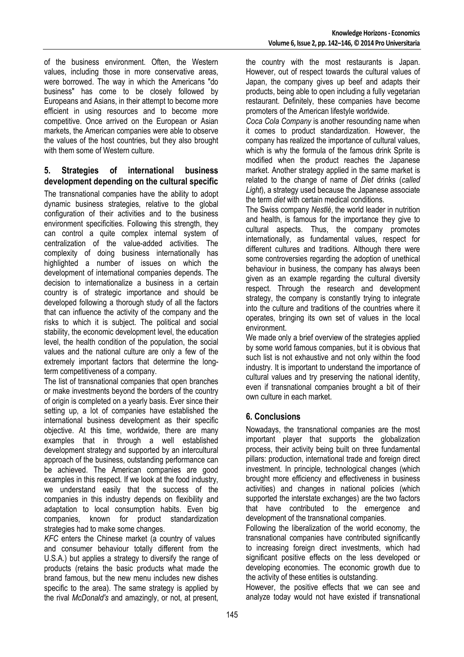of the business environment. Often, the Western values, including those in more conservative areas, were borrowed. The way in which the Americans "do business" has come to be closely followed by Europeans and Asians, in their attempt to become more efficient in using resources and to become more competitive. Once arrived on the European or Asian markets, the American companies were able to observe the values of the host countries, but they also brought with them some of Western culture.

#### **5. Strategies of international business development depending on the cultural specific**

The transnational companies have the ability to adopt dynamic business strategies, relative to the global configuration of their activities and to the business environment specificities. Following this strength, they can control a quite complex internal system of centralization of the value-added activities. The complexity of doing business internationally has highlighted a number of issues on which the development of international companies depends. The decision to internationalize a business in a certain country is of strategic importance and should be developed following a thorough study of all the factors that can influence the activity of the company and the risks to which it is subject. The political and social stability, the economic development level, the education level, the health condition of the population, the social values and the national culture are only a few of the extremely important factors that determine the longterm competitiveness of a company.

The list of transnational companies that open branches or make investments beyond the borders of the country of origin is completed on a yearly basis. Ever since their setting up, a lot of companies have established the international business development as their specific objective. At this time, worldwide, there are many examples that in through a well established development strategy and supported by an intercultural approach of the business, outstanding performance can be achieved. The American companies are good examples in this respect. If we look at the food industry, we understand easily that the success of the companies in this industry depends on flexibility and adaptation to local consumption habits. Even big companies, known for product standardization strategies had to make some changes.

*KFC* enters the Chinese market (a country of values and consumer behaviour totally different from the U.S.A.) but applies a strategy to diversify the range of products (retains the basic products what made the brand famous, but the new menu includes new dishes specific to the area). The same strategy is applied by the rival *McDonald's* and amazingly, or not, at present,

the country with the most restaurants is Japan. However, out of respect towards the cultural values of Japan, the company gives up beef and adapts their products, being able to open including a fully vegetarian restaurant. Definitely, these companies have become promoters of the American lifestyle worldwide.

*Coca Cola Company* is another resounding name when it comes to product standardization. However, the company has realized the importance of cultural values, which is why the formula of the famous drink Sprite is modified when the product reaches the Japanese market. Another strategy applied in the same market is related to the change of name of *Diet* drinks (*called Light*), a strategy used because the Japanese associate the term *diet* with certain medical conditions.

The Swiss company *Nestlé*, the world leader in nutrition and health, is famous for the importance they give to cultural aspects. Thus, the company promotes internationally, as fundamental values, respect for different cultures and traditions. Although there were some controversies regarding the adoption of unethical behaviour in business, the company has always been given as an example regarding the cultural diversity respect. Through the research and development strategy, the company is constantly trying to integrate into the culture and traditions of the countries where it operates, bringing its own set of values in the local environment.

We made only a brief overview of the strategies applied by some world famous companies, but it is obvious that such list is not exhaustive and not only within the food industry. It is important to understand the importance of cultural values and try preserving the national identity, even if transnational companies brought a bit of their own culture in each market.

# **6. Conclusions**

Nowadays, the transnational companies are the most important player that supports the globalization process, their activity being built on three fundamental pillars: production, international trade and foreign direct investment. In principle, technological changes (which brought more efficiency and effectiveness in business activities) and changes in national policies (which supported the interstate exchanges) are the two factors that have contributed to the emergence and development of the transnational companies.

Following the liberalization of the world economy, the transnational companies have contributed significantly to increasing foreign direct investments, which had significant positive effects on the less developed or developing economies. The economic growth due to the activity of these entities is outstanding.

However, the positive effects that we can see and analyze today would not have existed if transnational